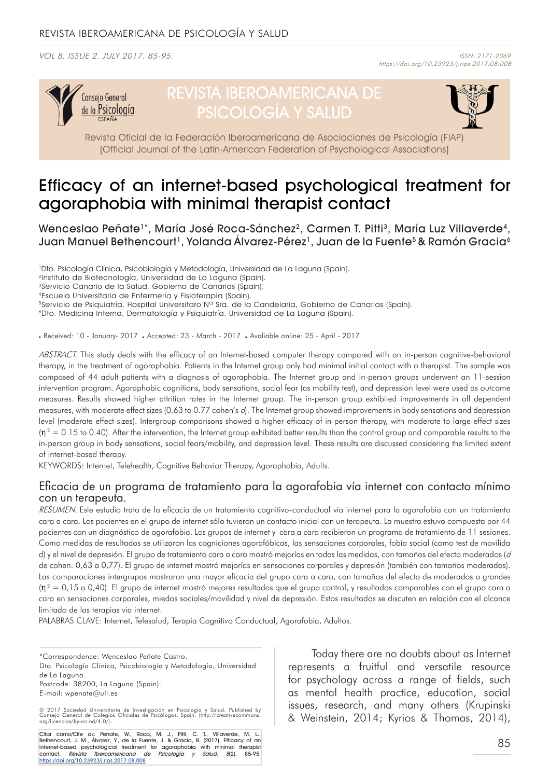VOL 8. ISSUE 2. JULY 2017. 85-95. ISSN: 2171-2069



# REVISTA IBEROAMERICANA DE PSICOLOGÍA Y SALUD



Revista Oficial de la Federación Iberoamericana de Asociaciones de Psicología (FIAP) [Official Journal of the Latin-American Federation of Psychological Associations]

# Efficacy of an internet-based psychological treatment for agoraphobia with minimal therapist contact

Wenceslao Peñate<sup>1\*</sup>, María José Roca-Sánchez<sup>2</sup>, Carmen T. Pitti<sup>3</sup>, María Luz Villaverde<sup>4</sup>, Juan Manuel Bethencourt<sup>1</sup>, Yolanda Álvarez-Pérez<sup>1</sup>, Juan de la Fuente<sup>5</sup> & Ramón Gracia<sup>6</sup>

1Dto. Psicología Clínica, Psicobiología y Metodología, Universidad de La Laguna (Spain).

5Servicio de Psiquiatría, Hospital Universitaro Nº Sra. de la Candelaria, Gobierno de Canarias (Spain).

6Dto. Medicina Interna, Dermatología y Psiquiatría, Universidad de La Laguna (Spain).

Received: 10 - January- 2017 . Accepted: 23 - March - 2017 . Avaliable online: 25 - April - 2017

ABSTRACT. This study deals with the efficacy of an Internet-based computer therapy compared with an in-person cognitive-behavioral therapy, in the treatment of agoraphobia. Patients in the Internet group only had minimal initial contact with a therapist. The sample was composed of 44 adult patients with a diagnosis of agoraphobia. The Internet group and in-person groups underwent an 11-session intervention program. Agoraphobic cognitions, body sensations, social fear (as mobility test), and depression level were used as outcome measures. Results showed higher attrition rates in the Internet group. The in-person group exhibited improvements in all dependent measures, with moderate effect sizes (0.63 to 0.77 cohen's d). The Internet group showed improvements in body sensations and depression level (moderate effect sizes). Intergroup comparisons showed a higher efficacy of in-person therapy, with moderate to large effect sizes  $(n^2 = 0.15$  to 0.40). After the intervention, the Internet group exhibited better results than the control group and comparable results to the in-person group in body sensations, social fears/mobility, and depression level. These results are discussed considering the limited extent of internet-based therapy.

KEYWORDS: Internet, Telehealth, Cognitive Behavior Therapy, Agoraphobia, Adults.

### Eficacia de un programa de tratamiento para la agorafobia vía internet con contacto mínimo con un terapeuta.

RESUMEN. Este estudio trata de la eficacia de un tratamiento cognitivo-conductual vía internet para la agorafobia con un tratamiento cara a cara. Los pacientes en el grupo de internet sólo tuvieron un contacto inicial con un terapeuta. La muestra estuvo compuesta por 44 pacientes con un diagnóstico de agorafobia. Los grupos de internet y cara a cara recibieron un programa de tratamiento de 11 sesiones. Como medidas de resultados se utilizaron las cogniciones agorafóbicas, las sensaciones corporales, fobia social (como test de movilida d) y el nivel de depresión. El grupo de tratamiento cara a cara mostró mejorías en todas las medidas, con tamaños del efecto moderados (d de cohen: 0,63 a 0,77). El grupo de internet mostró mejorías en sensaciones corporales y depresión (también con tamaños moderados). Las comparaciones intergrupos mostraron una mayor eficacia del grupo cara a cara, con tamaños del efecto de moderados a grandes  $(n^2 = 0.15$  a 0,40). El grupo de internet mostró mejores resultados que el grupo control, y resultados comparables con el grupo cara a cara en sensaciones corporales, miedos sociales/movilidad y nivel de depresión. Estos resultados se discuten en relación con el alcance limitado de las terapias vía internet.

PALABRAS CLAVE: Internet, Telesalud, Terapia Cognitivo Conductual, Agorafobia, Adultos.

\*Correspondence: Wenceslao Peñate Castro. Dto. Psicología Clínica, Psicobiología y Metodología, Universidad de La Laguna. Postcode: 38200, La Laguna (Spain). E-mail: wpenate@ull.es

Citar como/Cite as: Peñate, W., Roca, M. J., Pitti, C. T., Villaverde, M. L., Bethencourt, J. M., Álvarez, Y., de la Fuente, J. & Gracia, R. (2017). Efficacy of an internet-based psychological treatment for agoraphobia with minimal therapist<sup>i</sup><br>contact. *Revista Iberoamericana de Psicología y Salud, 8*(2), 85-95, [https://doi.org/10.23923/j.rips.2017.08.00](http://www.rips.cop.es/pii?pii=8)8

Today there are no doubts about as Internet represents a fruitful and versatile resource for psychology across a range of fields, such as mental health practice, education, social issues, research, and many others (Krupinski & Weinstein, 2014; Kyrios & Thomas, 2014),

<sup>2</sup>Instituto de Biotecnología, Universidad de La Laguna (Spain).

<sup>3</sup>Servicio Canario de la Salud, Gobierno de Canarias (Spain).

<sup>4</sup>Escuela Universitaria de Enfermería y Fisioterapia (Spain).

<sup>© 2017</sup> Sociedad Universitaria de Investigación en Psicología y Salud. Published by Consejo General de Colegios Oficiales de Psicólogos, Spain. (http://creativecommons. org/licencias/by-nc-nd/4.0/).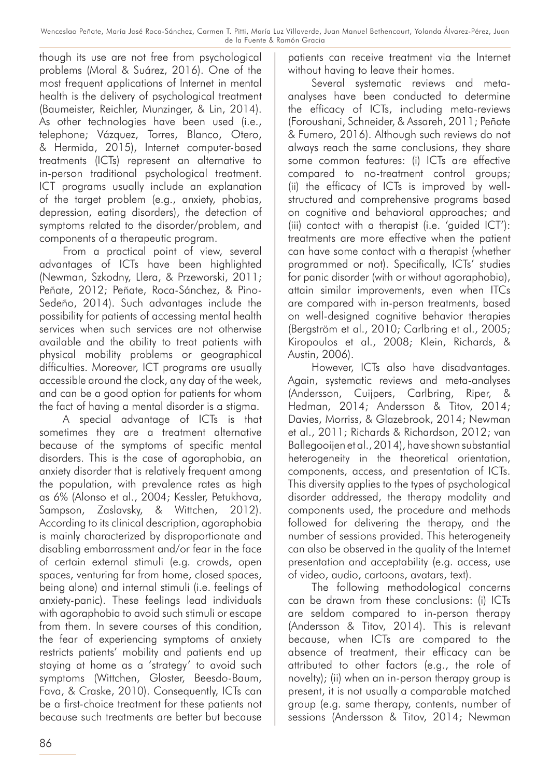though its use are not free from psychological problems (Moral & Suárez, 2016). One of the most frequent applications of Internet in mental health is the delivery of psychological treatment (Baumeister, Reichler, Munzinger, & Lin, 2014). As other technologies have been used (i.e., telephone; Vázquez, Torres, Blanco, Otero, & Hermida, 2015), Internet computer-based treatments (ICTs) represent an alternative to in-person traditional psychological treatment. ICT programs usually include an explanation of the target problem (e.g., anxiety, phobias, depression, eating disorders), the detection of symptoms related to the disorder/problem, and components of a therapeutic program.

From a practical point of view, several advantages of ICTs have been highlighted (Newman, Szkodny, Llera, & Przeworski, 2011; Peñate, 2012; Peñate, Roca-Sánchez, & Pino-Sedeño, 2014). Such advantages include the possibility for patients of accessing mental health services when such services are not otherwise available and the ability to treat patients with physical mobility problems or geographical difficulties. Moreover, ICT programs are usually accessible around the clock, any day of the week, and can be a good option for patients for whom the fact of having a mental disorder is a stigma.

A special advantage of ICTs is that sometimes they are a treatment alternative because of the symptoms of specific mental disorders. This is the case of agoraphobia, an anxiety disorder that is relatively frequent among the population, with prevalence rates as high as 6% (Alonso et al., 2004; Kessler, Petukhova, Sampson, Zaslavsky, & Wittchen, 2012). According to its clinical description, agoraphobia is mainly characterized by disproportionate and disabling embarrassment and/or fear in the face of certain external stimuli (e.g. crowds, open spaces, venturing far from home, closed spaces, being alone) and internal stimuli (i.e. feelings of anxiety-panic). These feelings lead individuals with agoraphobia to avoid such stimuli or escape from them. In severe courses of this condition, the fear of experiencing symptoms of anxiety restricts patients' mobility and patients end up staying at home as a 'strategy' to avoid such symptoms (Wittchen, Gloster, Beesdo-Baum, Fava, & Craske, 2010). Consequently, ICTs can be a first-choice treatment for these patients not because such treatments are better but because

patients can receive treatment via the Internet without having to leave their homes.

Several systematic reviews and metaanalyses have been conducted to determine the efficacy of ICTs, including meta-reviews (Foroushani, Schneider, & Assareh, 2011; Peñate & Fumero, 2016). Although such reviews do not always reach the same conclusions, they share some common features: (i) ICTs are effective compared to no-treatment control groups; (ii) the efficacy of ICTs is improved by wellstructured and comprehensive programs based on cognitive and behavioral approaches; and (iii) contact with a therapist (i.e. 'guided ICT'): treatments are more effective when the patient can have some contact with a therapist (whether programmed or not). Specifically, ICTs' studies for panic disorder (with or without agoraphobia), attain similar improvements, even when ITCs are compared with in-person treatments, based on well-designed cognitive behavior therapies (Bergström et al., 2010; Carlbring et al., 2005; Kiropoulos et al., 2008; Klein, Richards, & Austin, 2006).

However, ICTs also have disadvantages. Again, systematic reviews and meta-analyses (Andersson, Cuijpers, Carlbring, Riper, & Hedman, 2014; Andersson & Titov, 2014; Davies, Morriss, & Glazebrook, 2014; Newman et al., 2011; Richards & Richardson, 2012; van Ballegooijen et al., 2014), have shown substantial heterogeneity in the theoretical orientation, components, access, and presentation of ICTs. This diversity applies to the types of psychological disorder addressed, the therapy modality and components used, the procedure and methods followed for delivering the therapy, and the number of sessions provided. This heterogeneity can also be observed in the quality of the Internet presentation and acceptability (e.g. access, use of video, audio, cartoons, avatars, text).

The following methodological concerns can be drawn from these conclusions: (i) ICTs are seldom compared to in-person therapy (Andersson & Titov, 2014). This is relevant because, when ICTs are compared to the absence of treatment, their efficacy can be attributed to other factors (e.g., the role of novelty); (ii) when an in-person therapy group is present, it is not usually a comparable matched group (e.g. same therapy, contents, number of sessions (Andersson & Titov, 2014; Newman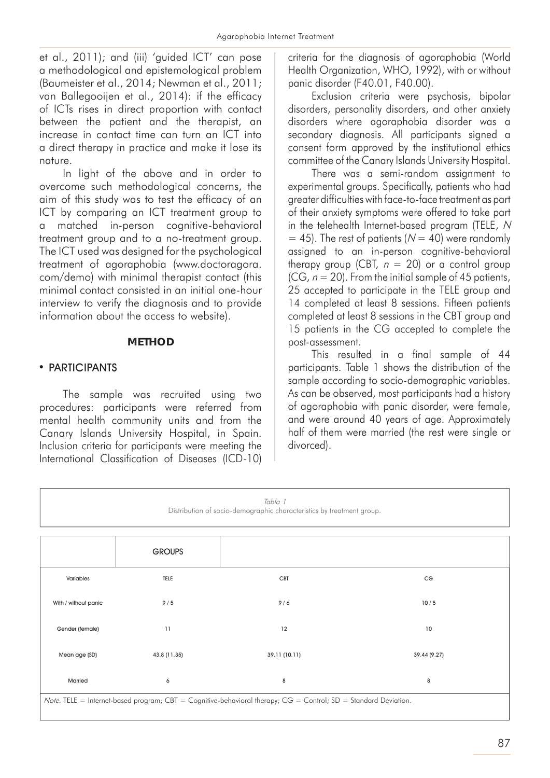et al., 2011); and (iii) 'guided ICT' can pose a methodological and epistemological problem (Baumeister et al., 2014; Newman et al., 2011; van Ballegooijen et al., 2014): if the efficacy of ICTs rises in direct proportion with contact between the patient and the therapist, an increase in contact time can turn an ICT into a direct therapy in practice and make it lose its nature.

In light of the above and in order to overcome such methodological concerns, the aim of this study was to test the efficacy of an ICT by comparing an ICT treatment group to a matched in-person cognitive-behavioral treatment group and to a no-treatment group. The ICT used was designed for the psychological treatment of agoraphobia (www.doctoragora. com/demo) with minimal therapist contact (this minimal contact consisted in an initial one-hour interview to verify the diagnosis and to provide information about the access to website).

### **METHOD**

# • PARTICIPANTS

The sample was recruited using two procedures: participants were referred from mental health community units and from the Canary Islands University Hospital, in Spain. Inclusion criteria for participants were meeting the International Classification of Diseases (ICD-10)

criteria for the diagnosis of agoraphobia (World Health Organization, WHO, 1992), with or without panic disorder (F40.01, F40.00).

Exclusion criteria were psychosis, bipolar disorders, personality disorders, and other anxiety disorders where agoraphobia disorder was a secondary diagnosis. All participants signed a consent form approved by the institutional ethics committee of the Canary Islands University Hospital.

There was a semi-random assignment to experimental groups. Specifically, patients who had greater difficulties with face-to-face treatment as part of their anxiety symptoms were offered to take part in the telehealth Internet-based program (TELE, N  $= 45$ ). The rest of patients ( $N = 40$ ) were randomly assigned to an in-person cognitive-behavioral therapy group (CBT,  $n = 20$ ) or a control group (CG,  $n = 20$ ). From the initial sample of 45 patients, 25 accepted to participate in the TELE group and 14 completed at least 8 sessions. Fifteen patients completed at least 8 sessions in the CBT group and 15 patients in the CG accepted to complete the post-assessment.

This resulted in a final sample of 44 participants. Table 1 shows the distribution of the sample according to socio-demographic variables. As can be observed, most participants had a history of agoraphobia with panic disorder, were female, and were around 40 years of age. Approximately half of them were married (the rest were single or divorced).

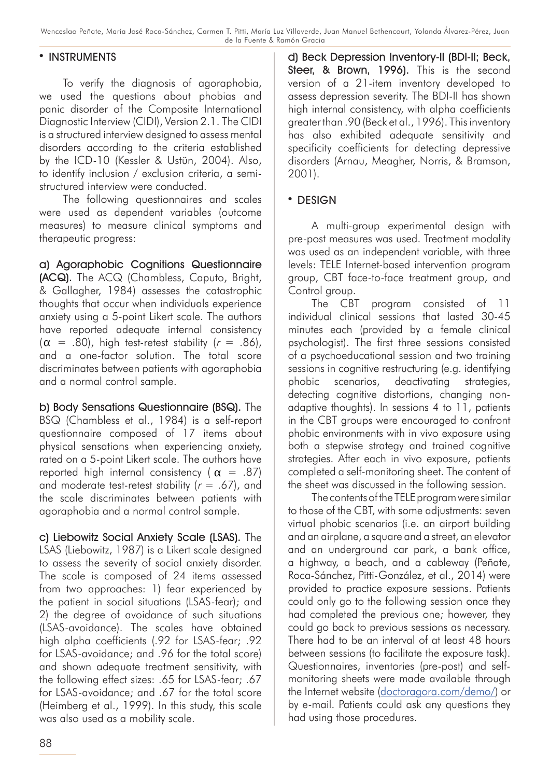### • INSTRUMENTS

To verify the diagnosis of agoraphobia, we used the questions about phobias and panic disorder of the Composite International Diagnostic Interview (CIDI), Version 2.1. The CIDI is a structured interview designed to assess mental disorders according to the criteria established by the ICD-10 (Kessler & Ustün, 2004). Also, to identify inclusion / exclusion criteria, a semistructured interview were conducted.

The following questionnaires and scales were used as dependent variables (outcome measures) to measure clinical symptoms and therapeutic progress:

a) Agoraphobic Cognitions Questionnaire (ACQ). The ACQ (Chambless, Caputo, Bright, & Gallagher, 1984) assesses the catastrophic thoughts that occur when individuals experience anxiety using a 5-point Likert scale. The authors have reported adequate internal consistency  $(\alpha = .80)$ , high test-retest stability  $(r = .86)$ , and a one-factor solution. The total score discriminates between patients with agoraphobia and a normal control sample.

b) Body Sensations Questionnaire (BSQ). The BSQ (Chambless et al., 1984) is a self-report questionnaire composed of 17 items about physical sensations when experiencing anxiety, rated on a 5-point Likert scale. The authors have reported high internal consistency ( $\alpha$  = .87) and moderate test-retest stability ( $r = .67$ ), and the scale discriminates between patients with agoraphobia and a normal control sample.

c) Liebowitz Social Anxiety Scale (LSAS). The LSAS (Liebowitz, 1987) is a Likert scale designed to assess the severity of social anxiety disorder. The scale is composed of 24 items assessed from two approaches: 1) fear experienced by the patient in social situations (LSAS-fear); and 2) the degree of avoidance of such situations (LSAS-avoidance). The scales have obtained high alpha coefficients (.92 for LSAS-fear; .92 for LSAS-avoidance; and .96 for the total score) and shown adequate treatment sensitivity, with the following effect sizes: .65 for LSAS-fear; .67 for LSAS-avoidance; and .67 for the total score (Heimberg et al., 1999). In this study, this scale was also used as a mobility scale.

d) Beck Depression Inventory-II (BDI-II; Beck, Steer, & Brown, 1996). This is the second version of a 21-item inventory developed to assess depression severity. The BDI-II has shown high internal consistency, with alpha coefficients greater than .90 (Beck et al., 1996). This inventory has also exhibited adequate sensitivity and specificity coefficients for detecting depressive disorders (Arnau, Meagher, Norris, & Bramson, 2001).

# $\cdot$  DESIGN

A multi-group experimental design with pre-post measures was used. Treatment modality was used as an independent variable, with three levels: TELE Internet-based intervention program group, CBT face-to-face treatment group, and Control group.

The CBT program consisted of 11 individual clinical sessions that lasted 30-45 minutes each (provided by a female clinical psychologist). The first three sessions consisted of a psychoeducational session and two training sessions in cognitive restructuring (e.g. identifying phobic scenarios, deactivating strategies, detecting cognitive distortions, changing nonadaptive thoughts). In sessions 4 to 11, patients in the CBT groups were encouraged to confront phobic environments with in vivo exposure using both a stepwise strategy and trained cognitive strategies. After each in vivo exposure, patients completed a self-monitoring sheet. The content of the sheet was discussed in the following session.

The contents of the TELE program were similar to those of the CBT, with some adjustments: seven virtual phobic scenarios (i.e. an airport building and an airplane, a square and a street, an elevator and an underground car park, a bank office, a highway, a beach, and a cableway (Peñate, Roca-Sánchez, Pitti-González, et al., 2014) were provided to practice exposure sessions. Patients could only go to the following session once they had completed the previous one; however, they could go back to previous sessions as necessary. There had to be an interval of at least 48 hours between sessions (to facilitate the exposure task). Questionnaires, inventories (pre-post) and selfmonitoring sheets were made available through the Internet website ([doctoragora.com/demo](http://doctoragora.com/demo/)/) or by e-mail. Patients could ask any questions they had using those procedures.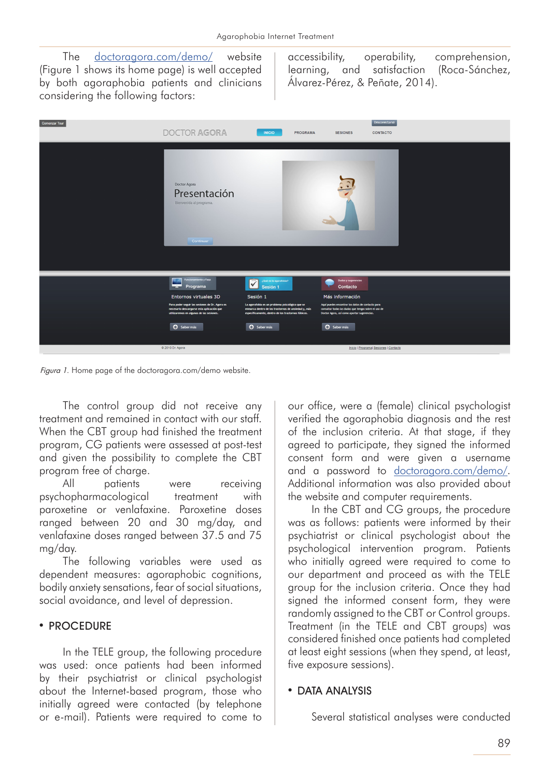The [doctoragora.com/demo](http://doctoragora.com/demo/)/ website (Figure 1 shows its home page) is well accepted by both agoraphobia patients and clinicians considering the following factors:

accessibility, operability, comprehension, learning, and satisfaction (Roca-Sánchez, Álvarez-Pérez, & Peñate, 2014).



Figura 1. Home page of the doctoragora.com/demo website.

The control group did not receive any treatment and remained in contact with our staff. When the CBT group had finished the treatment program, CG patients were assessed at post-test and given the possibility to complete the CBT program free of charge.

All patients were receiving psychopharmacological treatment with paroxetine or venlafaxine. Paroxetine doses ranged between 20 and 30 mg/day, and venlafaxine doses ranged between 37.5 and 75 mg/day.

The following variables were used as dependent measures: agoraphobic cognitions, bodily anxiety sensations, fear of social situations, social avoidance, and level of depression.

# • PROCEDURE

In the TELE group, the following procedure was used: once patients had been informed by their psychiatrist or clinical psychologist about the Internet-based program, those who initially agreed were contacted (by telephone or e-mail). Patients were required to come to our office, were a (female) clinical psychologist verified the agoraphobia diagnosis and the rest of the inclusion criteria. At that stage, if they agreed to participate, they signed the informed consent form and were given a username and a password to [doctoragora.com/demo/](http://doctoragora.com/demo/). Additional information was also provided about the website and computer requirements.

In the CBT and CG groups, the procedure was as follows: patients were informed by their psychiatrist or clinical psychologist about the psychological intervention program. Patients who initially agreed were required to come to our department and proceed as with the TELE group for the inclusion criteria. Once they had signed the informed consent form, they were randomly assigned to the CBT or Control groups. Treatment (in the TELE and CBT groups) was considered finished once patients had completed at least eight sessions (when they spend, at least, five exposure sessions).

# • DATA ANALYSIS

Several statistical analyses were conducted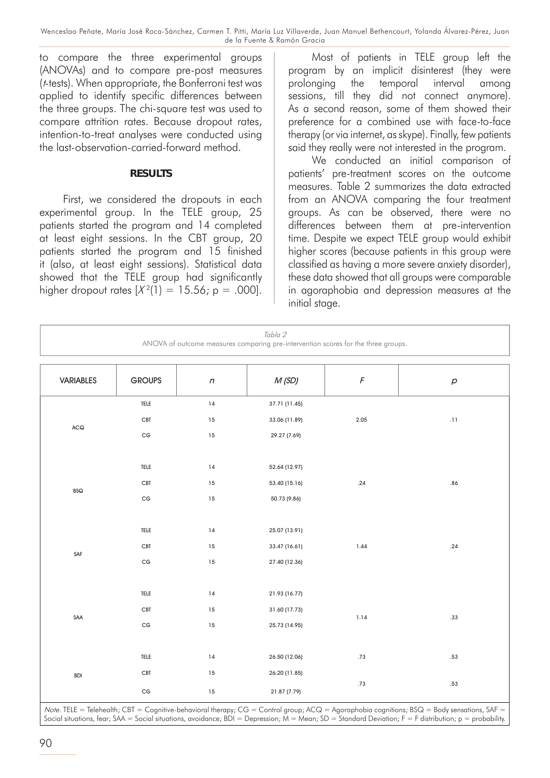to compare the three experimental groups (ANOVAs) and to compare pre-post measures (t-tests). When appropriate, the Bonferroni test was applied to identify specific differences between the three groups. The chi-square test was used to compare attrition rates. Because dropout rates, intention-to-treat analyses were conducted using the last-observation-carried-forward method.

#### **RESULTS**

First, we considered the dropouts in each experimental group. In the TELE group, 25 patients started the program and 14 completed at least eight sessions. In the CBT group, 20 patients started the program and 15 finished it (also, at least eight sessions). Statistical data showed that the TELE group had significantly higher dropout rates  $[X^2(1) = 15.56; p = .000]$ .

Most of patients in TELE group left the program by an implicit disinterest (they were prolonging the temporal interval among sessions, till they did not connect anymore). As a second reason, some of them showed their preference for a combined use with face-to-face therapy (or via internet, as skype). Finally, few patients said they really were not interested in the program.

We conducted an initial comparison of patients' pre-treatment scores on the outcome measures. Table 2 summarizes the data extracted from an ANOVA comparing the four treatment groups. As can be observed, there were no differences between them at pre-intervention time. Despite we expect TELE group would exhibit higher scores (because patients in this group were classified as having a more severe anxiety disorder), these data showed that all groups were comparable in agoraphobia and depression measures at the initial stage.

| Tabla 2<br>ANOVA of outcome measures comparing pre-intervention scores for the three groups. |                            |            |               |            |                     |  |  |
|----------------------------------------------------------------------------------------------|----------------------------|------------|---------------|------------|---------------------|--|--|
| VARIABLES                                                                                    | <b>GROUPS</b>              | $\sqrt{n}$ | M(SD)         | $\sqrt{2}$ | $\boldsymbol{\rho}$ |  |  |
|                                                                                              | $\mathsf{TELE}\ \textsf{}$ | 14         | 37.71 (11.45) |            |                     |  |  |
| ACQ                                                                                          | $\mathsf{CBT}$             | $15\,$     | 33.06 (11.89) | 2.05       | $\bar{.}11$         |  |  |
|                                                                                              | $\mathsf{CG}\phantom{.}$   | 15         | 29.27 (7.69)  |            |                     |  |  |
|                                                                                              |                            |            |               |            |                     |  |  |
|                                                                                              | TELE                       | 14         | 52.64 (12.97) |            |                     |  |  |
| $\mathsf{BSQ}$                                                                               | $\mathsf{CBT}$             | $15\,$     | 53.40 (15.16) | .24        | .86                 |  |  |
|                                                                                              | $\mathsf{CG}\phantom{.}$   | 15         | 50.73 (9.86)  |            |                     |  |  |
|                                                                                              |                            |            |               |            |                     |  |  |
|                                                                                              | TELE                       | 14         | 25.07 (13.91) |            |                     |  |  |
| SAF                                                                                          | CBT                        | 15         | 33.47 (16.61) | 1.44       | .24                 |  |  |
|                                                                                              | $\mathsf{CG}\phantom{.}$   | 15         | 27.40 (12.36) |            |                     |  |  |
|                                                                                              |                            |            |               |            |                     |  |  |
|                                                                                              | TELE                       | 14         | 21.93 (16.77) |            |                     |  |  |
| $\ensuremath{\mathsf{SAA}}$                                                                  | <b>CBT</b>                 | 15         | 31.60 (17.73) | 1.14       | .33                 |  |  |
|                                                                                              | $\mathsf{CG}\xspace$       | 15         | 25.73 (14.95) |            |                     |  |  |
|                                                                                              |                            |            |               |            |                     |  |  |
|                                                                                              | TELE                       | 14         | 26.50 (12.06) | .73        | .53                 |  |  |
| <b>BDI</b>                                                                                   | CBT                        | 15         | 26.20 (11.85) | .73        | .53                 |  |  |
|                                                                                              | CG                         | 15         | 21.87 (7.79)  |            |                     |  |  |

Note. TELE = Telehealth; CBT = Cognitive-behavioral therapy; CG = Control group; ACQ = Agoraphobia cognitions; BSQ = Body sensations, SAF = Social situations, fear; SAA = Social situations, avoidance; BDI = Depression;  $M = Mean$ ; SD = Standard Deviation; F = F distribution; p = probability.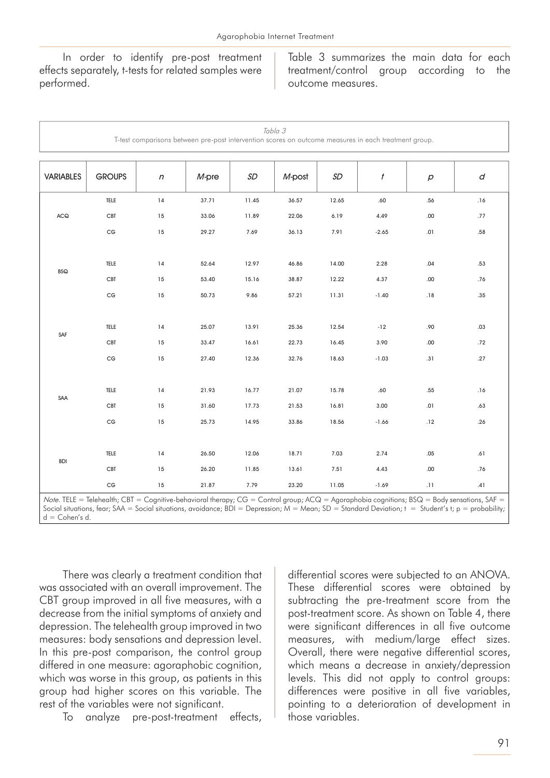In order to identify pre-post treatment effects separately, t-tests for related samples were performed.

Table 3 summarizes the main data for each treatment/control group according to the outcome measures.

| Tabla 3<br>T-test comparisons between pre-post intervention scores on outcome measures in each treatment group. |                                                                                          |            |          |        |        |       |                  |                                |           |
|-----------------------------------------------------------------------------------------------------------------|------------------------------------------------------------------------------------------|------------|----------|--------|--------|-------|------------------|--------------------------------|-----------|
| <b>VARIABLES</b>                                                                                                | <b>GROUPS</b>                                                                            | $\sqrt{n}$ | $M$ -pre | SD     | M-post | SD    | $\boldsymbol{t}$ | $\boldsymbol{\varphi}$         | d         |
|                                                                                                                 | TELE                                                                                     | 14         | 37.71    | 11.45  | 36.57  | 12.65 | .60              | .56                            | .16       |
| ACQ                                                                                                             | CBT                                                                                      | 15         | 33.06    | 11.89  | 22.06  | 6.19  | 4.49             | .00                            | .77       |
|                                                                                                                 | $\mathsf{CG}\xspace$                                                                     | 15         | 29.27    | 7.69   | 36.13  | 7.91  | $-2.65$          | .01                            | .58       |
|                                                                                                                 |                                                                                          |            |          |        |        |       |                  |                                |           |
| <b>BSQ</b>                                                                                                      | TELE                                                                                     | 14         | 52.64    | 12.97  | 46.86  | 14.00 | 2.28             | .04                            | .53       |
|                                                                                                                 | CBT                                                                                      | 15         | 53.40    | 15.16  | 38.87  | 12.22 | 4.37             | .00                            | .76       |
|                                                                                                                 | $\mathsf{CG}\xspace$                                                                     | 15         | 50.73    | 9.86   | 57.21  | 11.31 | $-1.40$          | .18                            | .35       |
|                                                                                                                 |                                                                                          |            |          |        |        |       |                  |                                |           |
| SAF                                                                                                             | TELE                                                                                     | 14         | 25.07    | 13.91  | 25.36  | 12.54 | $-12$            | .90                            | .03       |
|                                                                                                                 | <b>CBT</b>                                                                               | 15         | 33.47    | 16.61  | 22.73  | 16.45 | 3.90             | .00                            | .72       |
|                                                                                                                 | $\mathsf{CG}\xspace$                                                                     | 15         | 27.40    | 12.36  | 32.76  | 18.63 | $-1.03$          | .31                            | .27       |
|                                                                                                                 |                                                                                          |            |          |        |        |       |                  |                                |           |
| SAA                                                                                                             | TELE                                                                                     | 14         | 21.93    | 16.77  | 21.07  | 15.78 | .60              | .55                            | .16       |
|                                                                                                                 | CBT                                                                                      | 15         | 31.60    | 17.73  | 21.53  | 16.81 | 3.00             | .01                            | .63       |
|                                                                                                                 | $\mathsf{CG}\xspace$                                                                     | 15         | 25.73    | 14.95  | 33.86  | 18.56 | $-1.66$          | .12                            | .26       |
|                                                                                                                 |                                                                                          |            |          |        |        |       |                  |                                |           |
| <b>BDI</b>                                                                                                      | TELE                                                                                     | 14         | 26.50    | 12.06  | 18.71  | 7.03  | 2.74             | .05                            | .61       |
|                                                                                                                 | CBT                                                                                      | 15         | 26.20    | 11.85  | 13.61  | 7.51  | 4.43             | .00                            | .76       |
|                                                                                                                 | $\mathsf{CG}\xspace$                                                                     | 15         | 21.87    | 7.79   | 23.20  | 11.05 | $-1.69$          | .11                            | .41       |
| $T = 1.5$<br>$k = 1$                                                                                            | $T$ $\left  \right $ $\left  \right $ $\left  \right $ $\left  \right $ $\left  \right $ |            | $1 - 1$  | $\sim$ |        |       | $\sim$ 1 $\sim$  | $\sqrt{2}$<br>$n \cap \bigcap$ | $C A$ $F$ |

Note. TELE = Telehealth; CBT = Cognitive-behavioral therapy; CG = Control group; ACQ = Agoraphobia cognitions; BSQ = Body sensations, SAF = Social situations, fear; SAA = Social situations, avoidance; BDI = Depression; M = Mean; SD = Standard Deviation; t = Student's t; p = probability; d = Cohen's d.

There was clearly a treatment condition that was associated with an overall improvement. The CBT group improved in all five measures, with a decrease from the initial symptoms of anxiety and depression. The telehealth group improved in two measures: body sensations and depression level. In this pre-post comparison, the control group differed in one measure: agoraphobic cognition, which was worse in this group, as patients in this group had higher scores on this variable. The rest of the variables were not significant.

To analyze pre-post-treatment effects,

differential scores were subjected to an ANOVA. These differential scores were obtained by subtracting the pre-treatment score from the post-treatment score. As shown on Table 4, there were significant differences in all five outcome measures, with medium/large effect sizes. Overall, there were negative differential scores, which means a decrease in anxiety/depression levels. This did not apply to control groups: differences were positive in all five variables, pointing to a deterioration of development in those variables.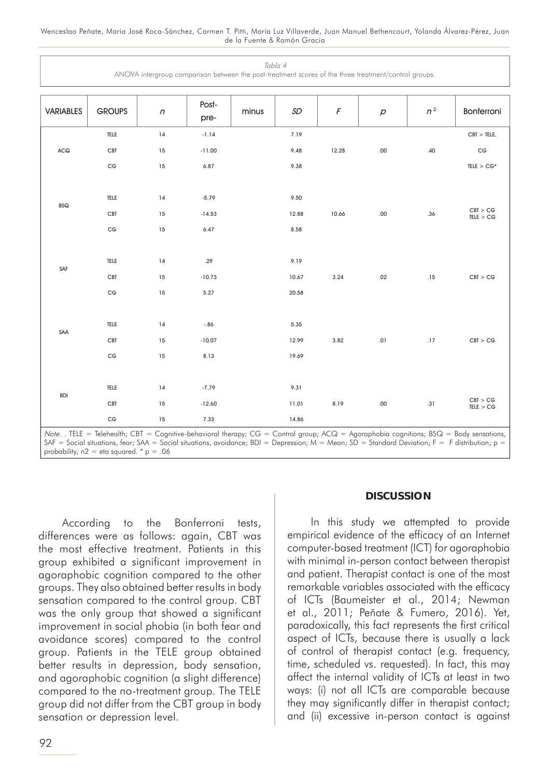| Tabla 4<br>ANOVA intergroup comparison between the post-treatment scores of the three treatment/control groups. |                                                                  |                |                             |       |                        |                       |                     |                      |                                                                                          |
|-----------------------------------------------------------------------------------------------------------------|------------------------------------------------------------------|----------------|-----------------------------|-------|------------------------|-----------------------|---------------------|----------------------|------------------------------------------------------------------------------------------|
| <b>VARIABLES</b>                                                                                                | <b>GROUPS</b>                                                    | $\sqrt{n}$     | Post-<br>pre-               | minus | SD                     | $\sqrt{F}$            | $\boldsymbol{\rho}$ | $n^2$                | Bonferroni                                                                               |
| <b>ACQ</b>                                                                                                      | TELE                                                             | $14$           | $-1.14$                     |       | 7.19                   |                       |                     |                      | CBT > TELE,                                                                              |
|                                                                                                                 | <b>CBT</b>                                                       | 15             | $-11.00$                    |       | 9.48                   | 12.28                 | $.00\,$             | .40                  | $\mathsf{CG}\phantom{.}$                                                                 |
|                                                                                                                 | $\mathsf{CG}\phantom{.}$                                         | 15             | 6.87                        |       | 9.38                   |                       |                     |                      | $\texttt{TELE} > \texttt{CG*}$                                                           |
| <b>BSQ</b>                                                                                                      | TELE<br>CBT<br>$\mathsf{CG}\phantom{.}$                          | 14<br>15<br>15 | $-5.79$<br>$-14.53$<br>6.47 |       | 9.50<br>12.88<br>8.58  | 10.66                 | .00                 | .36                  | CBT > CG<br>$\ensuremath{\mathsf{TELE}}\xspace > \ensuremath{\mathsf{CG}}\xspace$        |
| SAF                                                                                                             | TELE<br>CBT<br>$\mathsf{CG}\phantom{.}$                          | 14<br>15<br>15 | .29<br>$-10.73$<br>5.27     |       | 9.19<br>10.67<br>20.58 | 3.24                  | .02                 | .15                  | CBT > CG                                                                                 |
| SAA                                                                                                             | TELE<br><b>CBT</b><br>$\mathsf{CG}\phantom{.}$                   | 14<br>15<br>15 | $-.86$<br>$-10.07$<br>8.13  |       | 5.35<br>12.99<br>19.69 | 3.82                  | .01                 | .17                  | CBT > CG                                                                                 |
| <b>BDI</b>                                                                                                      | TELE<br><b>CBT</b><br>$\mathsf{CG}\phantom{.}$<br>$-1$<br>$\sim$ | 14<br>15<br>15 | $-7.79$<br>$-12.60$<br>7.33 |       | 9.31<br>11.01<br>14.86 | 8.19<br>$\sim$ $\sim$ | $.00\,$             | .31<br>$\sim$ $\sim$ | $\begin{array}{l} \mathrm{CBI} > \mathrm{CG} \\ \mathrm{TELE} > \mathrm{CG} \end{array}$ |

Note. . TELE = Telehealth; CBT = Cognitive-behavioral therapy; CG = Control group; ACQ = Agoraphobia cognitions; BSQ = Body sensations, SAF = Social situations, fear; SAA = Social situations, avoidance; BDI = Depression; M = Mean; SD = Standard Deviation; F = F distribution; p = probability;  $n2 = eta$  squared. \*  $p = .06$ 

According to the Bonferroni tests, differences were as follows: again, CBT was the most effective treatment. Patients in this group exhibited a significant improvement in agoraphobic cognition compared to the other groups. They also obtained better results in body sensation compared to the control group. CBT was the only group that showed a significant improvement in social phobia (in both fear and avoidance scores) compared to the control group. Patients in the TELE group obtained better results in depression, body sensation, and agoraphobic cognition (a slight difference) compared to the no-treatment group. The TELE group did not differ from the CBT group in body sensation or depression level.

#### **DISCUSSION**

In this study we attempted to provide empirical evidence of the efficacy of an Internet computer-based treatment (ICT) for agoraphobia with minimal in-person contact between therapist and patient. Therapist contact is one of the most remarkable variables associated with the efficacy of ICTs (Baumeister et al., 2014; Newman et al., 2011; Peñate & Fumero, 2016). Yet, paradoxically, this fact represents the first critical aspect of ICTs, because there is usually a lack of control of therapist contact (e.g. frequency, time, scheduled vs. requested). In fact, this may affect the internal validity of ICTs at least in two ways: (i) not all ICTs are comparable because they may significantly differ in therapist contact; and (ii) excessive in-person contact is against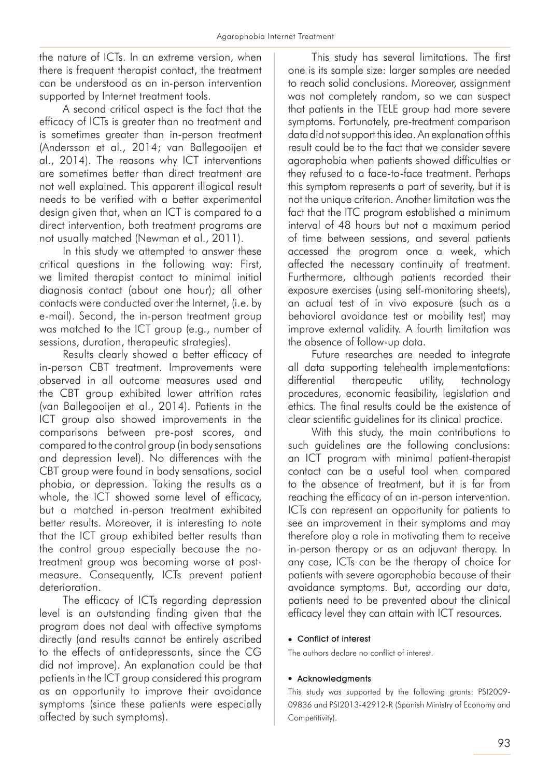the nature of ICTs. In an extreme version, when there is frequent therapist contact, the treatment can be understood as an in-person intervention supported by Internet treatment tools.

A second critical aspect is the fact that the efficacy of ICTs is greater than no treatment and is sometimes greater than in-person treatment (Andersson et al., 2014; van Ballegooijen et al., 2014). The reasons why ICT interventions are sometimes better than direct treatment are not well explained. This apparent illogical result needs to be verified with a better experimental design given that, when an ICT is compared to a direct intervention, both treatment programs are not usually matched (Newman et al., 2011).

In this study we attempted to answer these critical questions in the following way: First, we limited therapist contact to minimal initial diagnosis contact (about one hour); all other contacts were conducted over the Internet, (i.e. by e-mail). Second, the in-person treatment group was matched to the ICT group (e.g., number of sessions, duration, therapeutic strategies).

Results clearly showed a better efficacy of in-person CBT treatment. Improvements were observed in all outcome measures used and the CBT group exhibited lower attrition rates (van Ballegooijen et al., 2014). Patients in the ICT group also showed improvements in the comparisons between pre-post scores, and compared to the control group (in body sensations and depression level). No differences with the CBT group were found in body sensations, social phobia, or depression. Taking the results as a whole, the ICT showed some level of efficacy, but a matched in-person treatment exhibited better results. Moreover, it is interesting to note that the ICT group exhibited better results than the control group especially because the notreatment group was becoming worse at postmeasure. Consequently, ICTs prevent patient deterioration.

The efficacy of ICTs regarding depression level is an outstanding finding given that the program does not deal with affective symptoms directly (and results cannot be entirely ascribed to the effects of antidepressants, since the CG did not improve). An explanation could be that patients in the ICT group considered this program as an opportunity to improve their avoidance symptoms (since these patients were especially affected by such symptoms).

This study has several limitations. The first one is its sample size: larger samples are needed to reach solid conclusions. Moreover, assignment was not completely random, so we can suspect that patients in the TELE group had more severe symptoms. Fortunately, pre-treatment comparison data did not support this idea. An explanation of this result could be to the fact that we consider severe agoraphobia when patients showed difficulties or they refused to a face-to-face treatment. Perhaps this symptom represents a part of severity, but it is not the unique criterion. Another limitation was the fact that the ITC program established a minimum interval of 48 hours but not a maximum period of time between sessions, and several patients accessed the program once a week, which affected the necessary continuity of treatment. Furthermore, although patients recorded their exposure exercises (using self-monitoring sheets), an actual test of in vivo exposure (such as a behavioral avoidance test or mobility test) may improve external validity. A fourth limitation was the absence of follow-up data.

Future researches are needed to integrate all data supporting telehealth implementations: differential therapeutic utility, technology procedures, economic feasibility, legislation and ethics. The final results could be the existence of clear scientific guidelines for its clinical practice.

With this study, the main contributions to such guidelines are the following conclusions: an ICT program with minimal patient-therapist contact can be a useful tool when compared to the absence of treatment, but it is far from reaching the efficacy of an in-person intervention. ICTs can represent an opportunity for patients to see an improvement in their symptoms and may therefore play a role in motivating them to receive in-person therapy or as an adjuvant therapy. In any case, ICTs can be the therapy of choice for patients with severe agoraphobia because of their avoidance symptoms. But, according our data, patients need to be prevented about the clinical efficacy level they can attain with ICT resources.

#### • Conflict of interest

The authors declare no conflict of interest.

#### • Acknowledgments

This study was supported by the following grants: PSI2009- 09836 and PSI2013-42912-R (Spanish Ministry of Economy and Competitivity).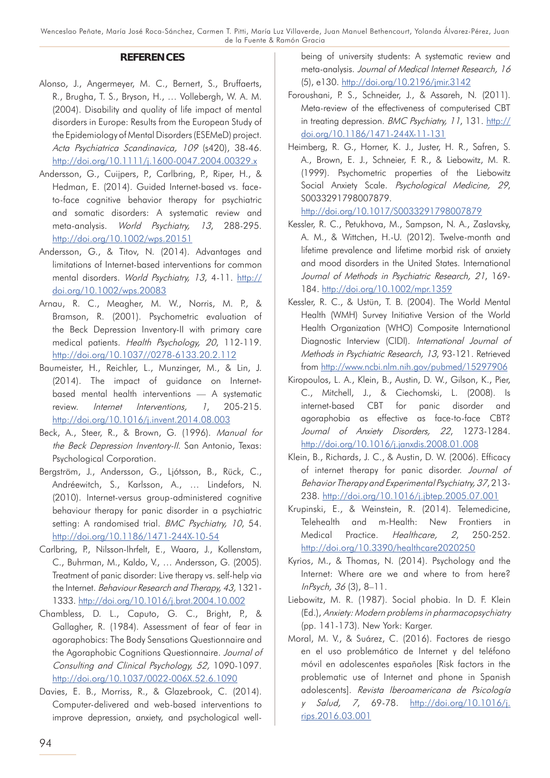#### **REFERENCES**

- Alonso, J., Angermeyer, M. C., Bernert, S., Bruffaerts, R., Brugha, T. S., Bryson, H., … Vollebergh, W. A. M. (2004). Disability and quality of life impact of mental disorders in Europe: Results from the European Study of the Epidemiology of Mental Disorders (ESEMeD) project. Acta Psychiatrica Scandinavica, 109 (s420), 38-46. [http://doi.org/10.1111/j.1600-0047.2004.00329.x](http://www.rug.nl/research/portal/publications/disability-and-quality-of-life-impact-of-mental-disorders-in-europe(a8661dce-8539-4807-a645-da97b9393d34)/export.html)
- Andersson, G., Cuijpers, P., Carlbring, P., Riper, H., & Hedman, E. (2014). Guided Internet-based vs. faceto-face cognitive behavior therapy for psychiatric and somatic disorders: A systematic review and meta-analysis. World Psychiatry, 13, 288-295. [http://doi.org/10.1002/wps.20151](http://onlinelibrary.wiley.com/doi/10.1002/wps.20151/abstract)
- Andersson, G., & Titov, N. (2014). Advantages and limitations of Internet-based interventions for common mental disorders. World Psychiatry, 13, 4-11. [http://](http://onlinelibrary.wiley.com/doi/10.1002/wps.20083/abstract) [doi.org/10.1002/wps.20083](http://onlinelibrary.wiley.com/doi/10.1002/wps.20083/abstract)
- Arnau, R. C., Meagher, M. W., Norris, M. P., & Bramson, R. (2001). Psychometric evaluation of the Beck Depression Inventory-II with primary care medical patients. Health Psychology, 20, 112-119. [http://doi.org/10.1037//0278-6133.20.2.112](http://psycnet.apa.org/?&fa=main.doiLanding&doi=10.1037/0278-6133.20.2.112)
- Baumeister, H., Reichler, L., Munzinger, M., & Lin, J. (2014). The impact of guidance on Internetbased mental health interventions — A systematic review. *Internet Interventions, 1*, 205-215. [http://doi.org/10.1016/j.invent.2014.08.003](http://www.invent-journal.com/article/S2214-7829(14)00024-4/abstract)
- Beck, A., Steer, R., & Brown, G. (1996). Manual for the Beck Depression Inventory-II. San Antonio, Texas: Psychological Corporation.
- Bergström, J., Andersson, G., Ljótsson, B., Rück, C., Andréewitch, S., Karlsson, A., … Lindefors, N. (2010). Internet-versus group-administered cognitive behaviour therapy for panic disorder in a psychiatric setting: A randomised trial. BMC Psychiatry, 10, 54. [http://doi.org/10.1186/1471-244X-10-54](https://bmcpsychiatry.biomedcentral.com/articles/10.1186/1471-244X-10-54)
- Carlbring, P., Nilsson-Ihrfelt, E., Waara, J., Kollenstam, C., Buhrman, M., Kaldo, V., … Andersson, G. (2005). Treatment of panic disorder: Live therapy vs. self-help via the Internet. Behaviour Research and Therapy, 43, 1321- 1333. [http://doi.org/10.1016/j.brat.2004.10.002](http://www.sciencedirect.com/science/article/pii/S0005796704002372)
- Chambless, D. L., Caputo, G. C., Bright, P., & Gallagher, R. (1984). Assessment of fear of fear in agoraphobics: The Body Sensations Questionnaire and the Agoraphobic Cognitions Questionnaire. Journal of Consulting and Clinical Psychology, 52, 1090-1097. [http://doi.org/10.1037/0022-006X.52.6.1090](http://psycnet.apa.org/psycinfo/1985-13540-001)
- Davies, E. B., Morriss, R., & Glazebrook, C. (2014). Computer-delivered and web-based interventions to improve depression, anxiety, and psychological well-

being of university students: A systematic review and meta-analysis. Journal of Medical Internet Research, 16 (5), e130. [http://doi.org/10.2196/jmir.3142](http://www.jmir.org/2014/5/e130/)

- Foroushani, P. S., Schneider, J., & Assareh, N. (2011). Meta-review of the effectiveness of computerised CBT in treating depression. BMC Psychiatry, 11, 131. [http://](https://bmcpsychiatry.biomedcentral.com/articles/10.1186/1471-244X-11-131) [doi.org/10.1186/1471-244X-11-131](https://bmcpsychiatry.biomedcentral.com/articles/10.1186/1471-244X-11-131)
- Heimberg, R. G., Horner, K. J., Juster, H. R., Safren, S. A., Brown, E. J., Schneier, F. R., & Liebowitz, M. R. (1999). Psychometric properties of the Liebowitz Social Anxiety Scale. Psychological Medicine, 29, S0033291798007879.

[http://doi.org/10.1017/S0033291798007879](https://www.cambridge.org/core/journals/psychological-medicine/article/psychometric-properties-of-the-liebowitz-social-anxiety-scale/6891D37D00A9BEC179E61C8BFF30F08A)

- Kessler, R. C., Petukhova, M., Sampson, N. A., Zaslavsky, A. M., & Wittchen, H.-U. (2012). Twelve-month and lifetime prevalence and lifetime morbid risk of anxiety and mood disorders in the United States. International Journal of Methods in Psychiatric Research, 21, 169- 184. [http://doi.org/10.1002/mpr.1359](http://onlinelibrary.wiley.com/doi/10.1002/mpr.1359/abstract)
- Kessler, R. C., & Ustün, T. B. (2004). The World Mental Health (WMH) Survey Initiative Version of the World Health Organization (WHO) Composite International Diagnostic Interview (CIDI). International Journal of Methods in Psychiatric Research, 13, 93-121. Retrieved from [http://www.ncbi.nlm.nih.gov/pubmed/15297906](https://www.ncbi.nlm.nih.gov/pubmed/15297906)
- Kiropoulos, L. A., Klein, B., Austin, D. W., Gilson, K., Pier, C., Mitchell, J., & Ciechomski, L. (2008). Is internet-based CBT for panic disorder and agoraphobia as effective as face-to-face CBT? Journal of Anxiety Disorders, 22, 1273-1284. [http://doi.org/10.1016/j.janxdis.2008.01.008](http://www.sciencedirect.com/science/article/pii/S0887618508000170)
- Klein, B., Richards, J. C., & Austin, D. W. (2006). Efficacy of internet therapy for panic disorder. Journal of Behavior Therapy and Experimental Psychiatry, 37, 213- 238. [http://doi.org/10.1016/j.jbtep.2005.07.001](http://www.sciencedirect.com/science/article/pii/S0005791605000455)
- Krupinski, E., & Weinstein, R. (2014). Telemedicine, Telehealth and m-Health: New Frontiers in Medical Practice. Healthcare, 2, 250-252. [http://doi.org/10.3390/healthcare2020250](http://www.mdpi.com/2227-9032/2/2/250)
- Kyrios, M., & Thomas, N. (2014). Psychology and the Internet: Where are we and where to from here? InPsych, 36 (3), 8–11.
- Liebowitz, M. R. (1987). Social phobia. In D. F. Klein (Ed.), Anxiety: Modern problems in pharmacopsychiatry (pp. 141-173). New York: Karger.
- Moral, M. V., & Suárez, C. (2016). Factores de riesgo en el uso problemático de Internet y del teléfono móvil en adolescentes españoles [Risk factors in the problematic use of Internet and phone in Spanish adolescents]. Revista Iberoamericana de Psicología <sup>y</sup>Salud, 7, 69-78. [http://doi.org/10.1016/j.](http://www.sciencedirect.com/science/article/pii/S2171206916300011) [rips.2016.03.001](http://www.sciencedirect.com/science/article/pii/S2171206916300011)